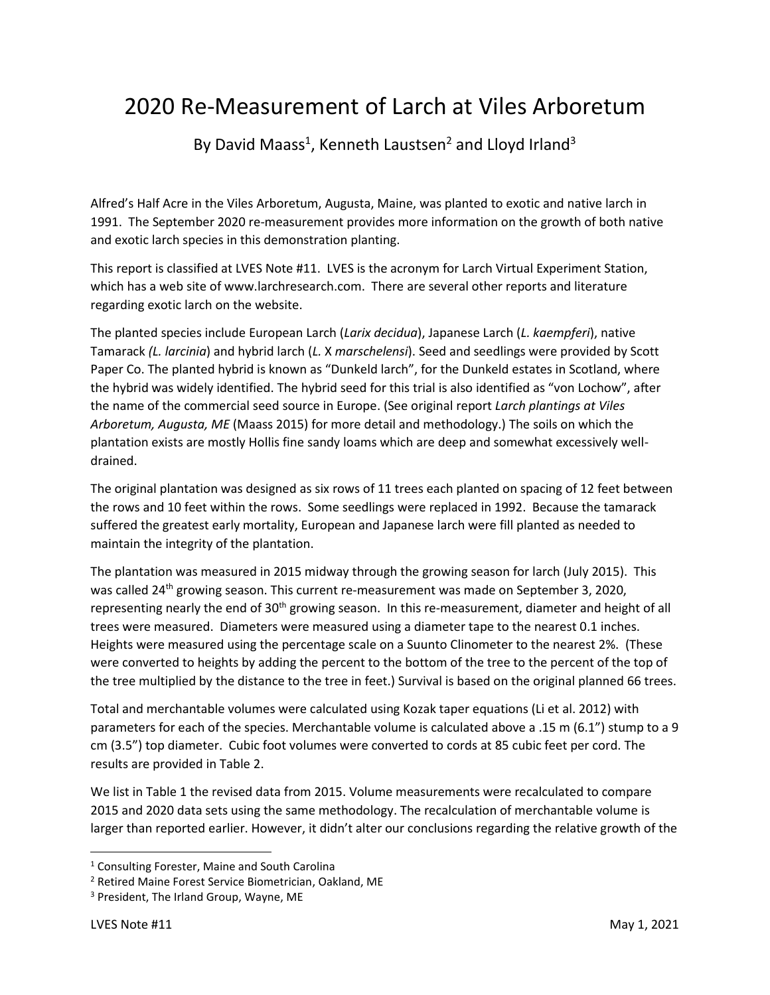# 2020 Re-Measurement of Larch at Viles Arboretum

By David Maass<sup>1</sup>, Kenneth Laustsen<sup>2</sup> and Lloyd Irland<sup>3</sup>

Alfred's Half Acre in the Viles Arboretum, Augusta, Maine, was planted to exotic and native larch in 1991. The September 2020 re-measurement provides more information on the growth of both native and exotic larch species in this demonstration planting.

This report is classified at LVES Note #11. LVES is the acronym for Larch Virtual Experiment Station, which has a web site of www.larchresearch.com. There are several other reports and literature regarding exotic larch on the website.

The planted species include European Larch (*Larix decidua*), Japanese Larch (*L. kaempferi*), native Tamarack *(L. larcinia*) and hybrid larch (*L.* X *marschelensi*). Seed and seedlings were provided by Scott Paper Co. The planted hybrid is known as "Dunkeld larch", for the Dunkeld estates in Scotland, where the hybrid was widely identified. The hybrid seed for this trial is also identified as "von Lochow", after the name of the commercial seed source in Europe. (See original report *Larch plantings at Viles Arboretum, Augusta, ME* (Maass 2015) for more detail and methodology.) The soils on which the plantation exists are mostly Hollis fine sandy loams which are deep and somewhat excessively welldrained.

The original plantation was designed as six rows of 11 trees each planted on spacing of 12 feet between the rows and 10 feet within the rows. Some seedlings were replaced in 1992. Because the tamarack suffered the greatest early mortality, European and Japanese larch were fill planted as needed to maintain the integrity of the plantation.

The plantation was measured in 2015 midway through the growing season for larch (July 2015). This was called 24<sup>th</sup> growing season. This current re-measurement was made on September 3, 2020, representing nearly the end of 30<sup>th</sup> growing season. In this re-measurement, diameter and height of all trees were measured. Diameters were measured using a diameter tape to the nearest 0.1 inches. Heights were measured using the percentage scale on a Suunto Clinometer to the nearest 2%. (These were converted to heights by adding the percent to the bottom of the tree to the percent of the top of the tree multiplied by the distance to the tree in feet.) Survival is based on the original planned 66 trees.

Total and merchantable volumes were calculated using Kozak taper equations (Li et al. 2012) with parameters for each of the species. Merchantable volume is calculated above a .15 m (6.1") stump to a 9 cm (3.5") top diameter. Cubic foot volumes were converted to cords at 85 cubic feet per cord. The results are provided in Table 2.

We list in Table 1 the revised data from 2015. Volume measurements were recalculated to compare 2015 and 2020 data sets using the same methodology. The recalculation of merchantable volume is larger than reported earlier. However, it didn't alter our conclusions regarding the relative growth of the

<sup>1</sup> Consulting Forester, Maine and South Carolina

<sup>2</sup> Retired Maine Forest Service Biometrician, Oakland, ME

<sup>&</sup>lt;sup>3</sup> President, The Irland Group, Wayne, ME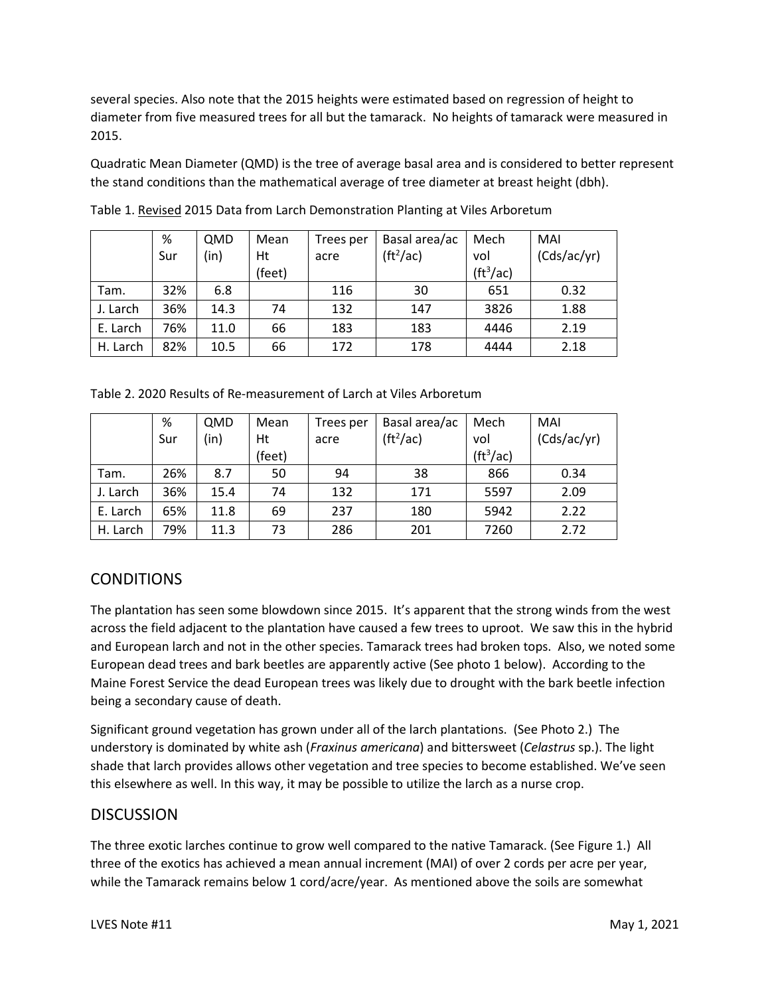several species. Also note that the 2015 heights were estimated based on regression of height to diameter from five measured trees for all but the tamarack. No heights of tamarack were measured in 2015.

Quadratic Mean Diameter (QMD) is the tree of average basal area and is considered to better represent the stand conditions than the mathematical average of tree diameter at breast height (dbh).

|          | %   | QMD  | Mean   | Trees per | Basal area/ac         | Mech                  | MAI         |
|----------|-----|------|--------|-----------|-----------------------|-----------------------|-------------|
|          | Sur | (in) | Ht     | acre      | (tf <sup>2</sup> /ac) | vol                   | (Cds/ac/yr) |
|          |     |      | (feet) |           |                       | (tf <sup>3</sup> /ac) |             |
| Tam.     | 32% | 6.8  |        | 116       | 30                    | 651                   | 0.32        |
| J. Larch | 36% | 14.3 | 74     | 132       | 147                   | 3826                  | 1.88        |
| E. Larch | 76% | 11.0 | 66     | 183       | 183                   | 4446                  | 2.19        |
| H. Larch | 82% | 10.5 | 66     | 172       | 178                   | 4444                  | 2.18        |

Table 1. Revised 2015 Data from Larch Demonstration Planting at Viles Arboretum

Table 2. 2020 Results of Re-measurement of Larch at Viles Arboretum

|          | %   | QMD  | Mean   | Trees per | Basal area/ac | Mech                      | MAI         |
|----------|-----|------|--------|-----------|---------------|---------------------------|-------------|
|          | Sur | (in) | Ht     | acre      | $(ft^2/ac)$   | vol                       | (Cds/ac/yr) |
|          |     |      | (feet) |           |               | $(\text{ft}^3/\text{ac})$ |             |
| Tam.     | 26% | 8.7  | 50     | 94        | 38            | 866                       | 0.34        |
| J. Larch | 36% | 15.4 | 74     | 132       | 171           | 5597                      | 2.09        |
| E. Larch | 65% | 11.8 | 69     | 237       | 180           | 5942                      | 2.22        |
| H. Larch | 79% | 11.3 | 73     | 286       | 201           | 7260                      | 2.72        |

## **CONDITIONS**

The plantation has seen some blowdown since 2015. It's apparent that the strong winds from the west across the field adjacent to the plantation have caused a few trees to uproot. We saw this in the hybrid and European larch and not in the other species. Tamarack trees had broken tops. Also, we noted some European dead trees and bark beetles are apparently active (See photo 1 below). According to the Maine Forest Service the dead European trees was likely due to drought with the bark beetle infection being a secondary cause of death.

Significant ground vegetation has grown under all of the larch plantations. (See Photo 2.) The understory is dominated by white ash (*Fraxinus americana*) and bittersweet (*Celastrus* sp.). The light shade that larch provides allows other vegetation and tree species to become established. We've seen this elsewhere as well. In this way, it may be possible to utilize the larch as a nurse crop.

#### DISCUSSION

The three exotic larches continue to grow well compared to the native Tamarack. (See Figure 1.) All three of the exotics has achieved a mean annual increment (MAI) of over 2 cords per acre per year, while the Tamarack remains below 1 cord/acre/year. As mentioned above the soils are somewhat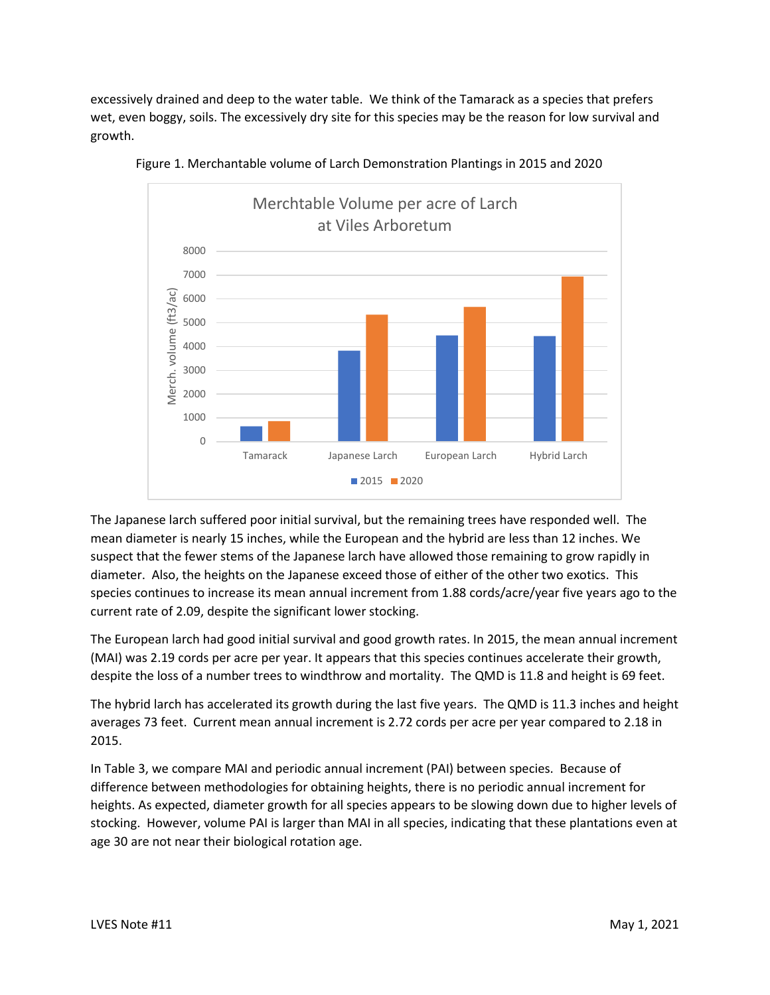excessively drained and deep to the water table. We think of the Tamarack as a species that prefers wet, even boggy, soils. The excessively dry site for this species may be the reason for low survival and growth.





The Japanese larch suffered poor initial survival, but the remaining trees have responded well. The mean diameter is nearly 15 inches, while the European and the hybrid are less than 12 inches. We suspect that the fewer stems of the Japanese larch have allowed those remaining to grow rapidly in diameter. Also, the heights on the Japanese exceed those of either of the other two exotics. This species continues to increase its mean annual increment from 1.88 cords/acre/year five years ago to the current rate of 2.09, despite the significant lower stocking.

The European larch had good initial survival and good growth rates. In 2015, the mean annual increment (MAI) was 2.19 cords per acre per year. It appears that this species continues accelerate their growth, despite the loss of a number trees to windthrow and mortality. The QMD is 11.8 and height is 69 feet.

The hybrid larch has accelerated its growth during the last five years. The QMD is 11.3 inches and height averages 73 feet. Current mean annual increment is 2.72 cords per acre per year compared to 2.18 in 2015.

In Table 3, we compare MAI and periodic annual increment (PAI) between species. Because of difference between methodologies for obtaining heights, there is no periodic annual increment for heights. As expected, diameter growth for all species appears to be slowing down due to higher levels of stocking. However, volume PAI is larger than MAI in all species, indicating that these plantations even at age 30 are not near their biological rotation age.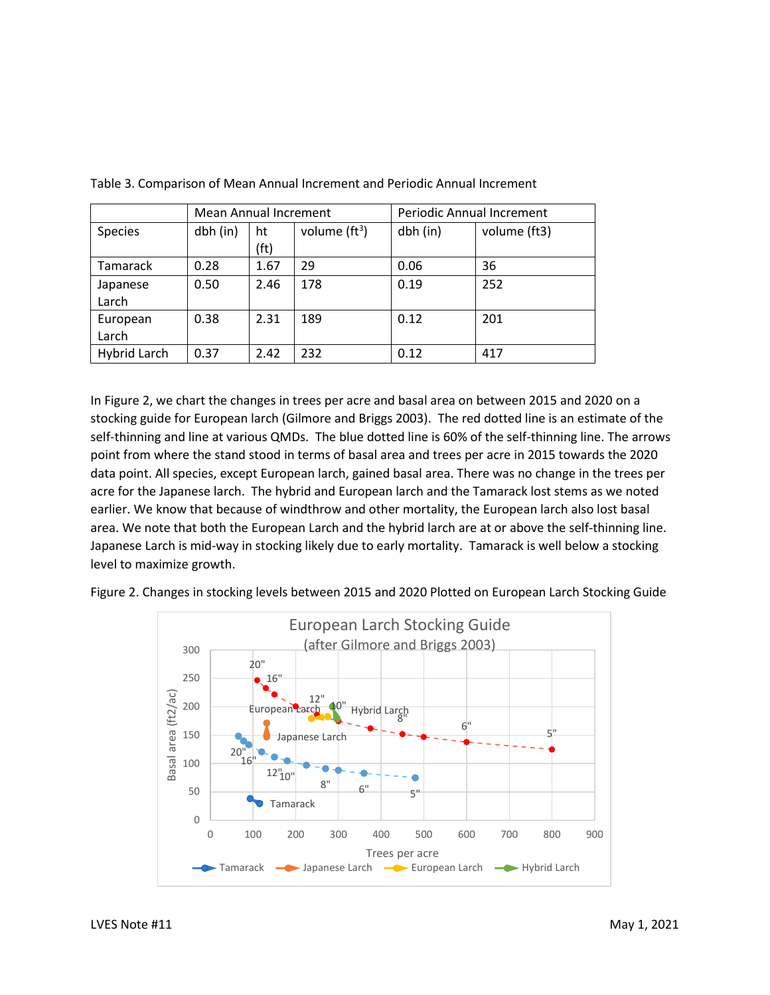|                     | <b>Mean Annual Increment</b> |            |                 | Periodic Annual Increment |              |  |
|---------------------|------------------------------|------------|-----------------|---------------------------|--------------|--|
| Species             | dbh (in)                     | ht<br>(ft) | volume $(tf^3)$ | dbh (in)                  | volume (ft3) |  |
| Tamarack            | 0.28                         | 1.67       | 29              | 0.06                      | 36           |  |
| Japanese<br>Larch   | 0.50                         | 2.46       | 178             | 0.19                      | 252          |  |
| European<br>Larch   | 0.38                         | 2.31       | 189             | 0.12                      | 201          |  |
| <b>Hybrid Larch</b> | 0.37                         | 2.42       | 232             | 0.12                      | 417          |  |

Table 3. Comparison of Mean Annual Increment and Periodic Annual Increment

In Figure 2, we chart the changes in trees per acre and basal area on between 2015 and 2020 on a stocking guide for European larch (Gilmore and Briggs 2003). The red dotted line is an estimate of the self-thinning and line at various QMDs. The blue dotted line is 60% of the self-thinning line. The arrows point from where the stand stood in terms of basal area and trees per acre in 2015 towards the 2020 data point. All species, except European larch, gained basal area. There was no change in the trees per acre for the Japanese larch. The hybrid and European larch and the Tamarack lost stems as we noted earlier. We know that because of windthrow and other mortality, the European larch also lost basal area. We note that both the European Larch and the hybrid larch are at or above the self-thinning line. Japanese Larch is mid-way in stocking likely due to early mortality. Tamarack is well below a stocking level to maximize growth.



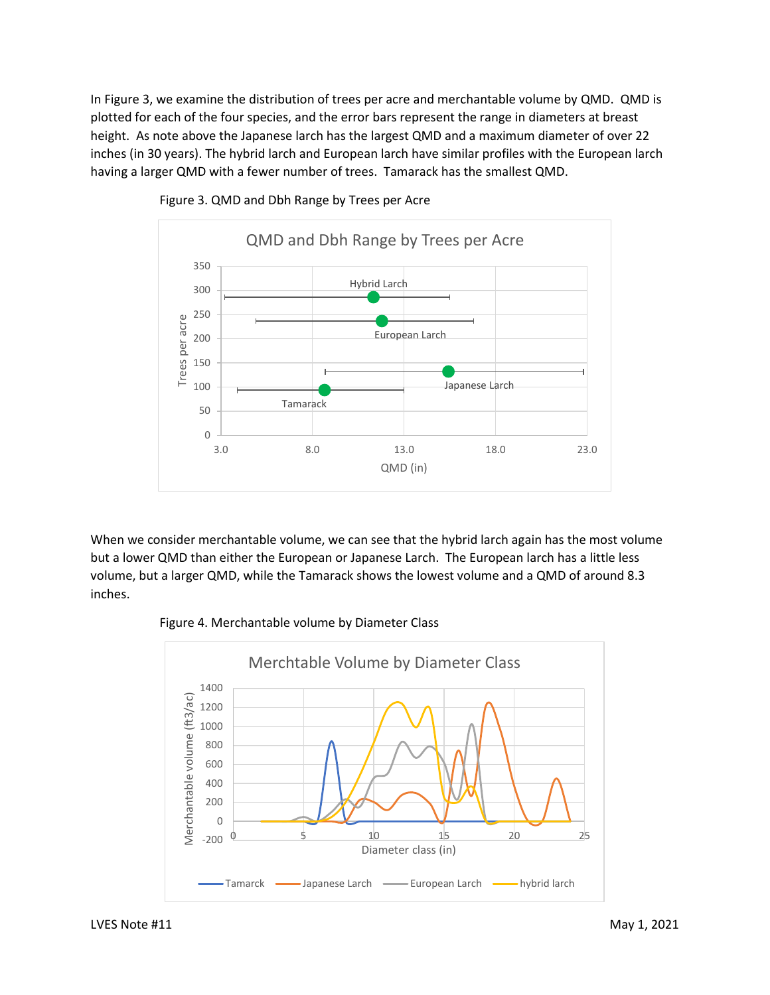In Figure 3, we examine the distribution of trees per acre and merchantable volume by QMD. QMD is plotted for each of the four species, and the error bars represent the range in diameters at breast height. As note above the Japanese larch has the largest QMD and a maximum diameter of over 22 inches (in 30 years). The hybrid larch and European larch have similar profiles with the European larch having a larger QMD with a fewer number of trees. Tamarack has the smallest QMD.



Figure 3. QMD and Dbh Range by Trees per Acre

When we consider merchantable volume, we can see that the hybrid larch again has the most volume but a lower QMD than either the European or Japanese Larch. The European larch has a little less volume, but a larger QMD, while the Tamarack shows the lowest volume and a QMD of around 8.3 inches.



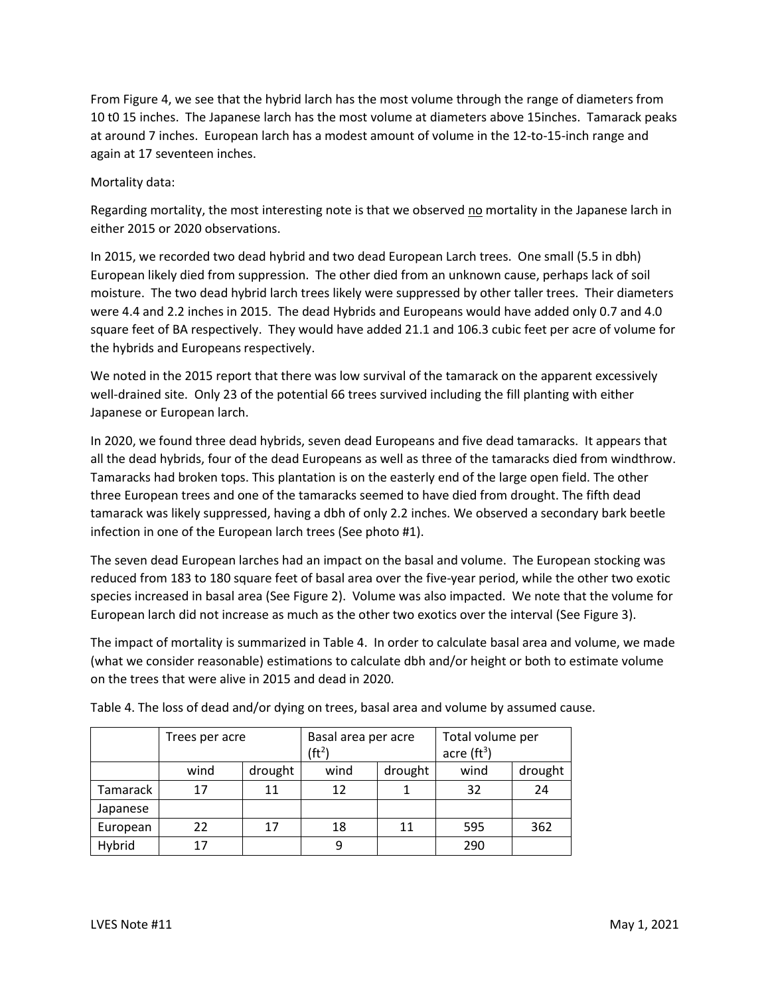From Figure 4, we see that the hybrid larch has the most volume through the range of diameters from 10 t0 15 inches. The Japanese larch has the most volume at diameters above 15inches. Tamarack peaks at around 7 inches. European larch has a modest amount of volume in the 12-to-15-inch range and again at 17 seventeen inches.

Mortality data:

Regarding mortality, the most interesting note is that we observed no mortality in the Japanese larch in either 2015 or 2020 observations.

In 2015, we recorded two dead hybrid and two dead European Larch trees. One small (5.5 in dbh) European likely died from suppression. The other died from an unknown cause, perhaps lack of soil moisture. The two dead hybrid larch trees likely were suppressed by other taller trees. Their diameters were 4.4 and 2.2 inches in 2015. The dead Hybrids and Europeans would have added only 0.7 and 4.0 square feet of BA respectively. They would have added 21.1 and 106.3 cubic feet per acre of volume for the hybrids and Europeans respectively.

We noted in the 2015 report that there was low survival of the tamarack on the apparent excessively well-drained site. Only 23 of the potential 66 trees survived including the fill planting with either Japanese or European larch.

In 2020, we found three dead hybrids, seven dead Europeans and five dead tamaracks. It appears that all the dead hybrids, four of the dead Europeans as well as three of the tamaracks died from windthrow. Tamaracks had broken tops. This plantation is on the easterly end of the large open field. The other three European trees and one of the tamaracks seemed to have died from drought. The fifth dead tamarack was likely suppressed, having a dbh of only 2.2 inches. We observed a secondary bark beetle infection in one of the European larch trees (See photo #1).

The seven dead European larches had an impact on the basal and volume. The European stocking was reduced from 183 to 180 square feet of basal area over the five-year period, while the other two exotic species increased in basal area (See Figure 2). Volume was also impacted. We note that the volume for European larch did not increase as much as the other two exotics over the interval (See Figure 3).

The impact of mortality is summarized in Table 4. In order to calculate basal area and volume, we made (what we consider reasonable) estimations to calculate dbh and/or height or both to estimate volume on the trees that were alive in 2015 and dead in 2020.

|          | Trees per acre |         | Basal area per acre |         | Total volume per    |         |
|----------|----------------|---------|---------------------|---------|---------------------|---------|
|          |                |         | (ft <sup>2</sup> )  |         | acre $({\rm ft}^3)$ |         |
|          | wind           | drought | wind                | drought | wind                | drought |
| Tamarack | 17             | 11      | 12                  |         | 32                  | 24      |
| Japanese |                |         |                     |         |                     |         |
| European | 22             | 17      | 18                  | 11      | 595                 | 362     |
| Hybrid   | 17             |         | 9                   |         | 290                 |         |

Table 4. The loss of dead and/or dying on trees, basal area and volume by assumed cause.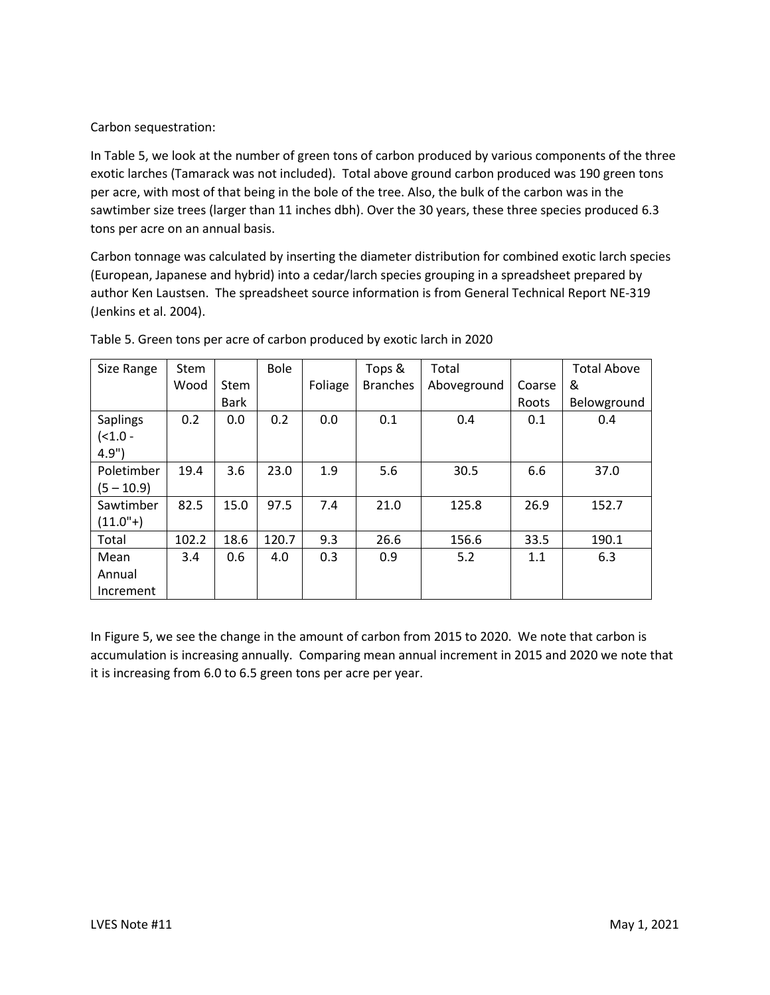Carbon sequestration:

In Table 5, we look at the number of green tons of carbon produced by various components of the three exotic larches (Tamarack was not included). Total above ground carbon produced was 190 green tons per acre, with most of that being in the bole of the tree. Also, the bulk of the carbon was in the sawtimber size trees (larger than 11 inches dbh). Over the 30 years, these three species produced 6.3 tons per acre on an annual basis.

Carbon tonnage was calculated by inserting the diameter distribution for combined exotic larch species (European, Japanese and hybrid) into a cedar/larch species grouping in a spreadsheet prepared by author Ken Laustsen. The spreadsheet source information is from General Technical Report NE-319 (Jenkins et al. 2004).

| Size Range   | <b>Stem</b> |             | <b>Bole</b> |         | Tops &          | Total       |        | <b>Total Above</b> |
|--------------|-------------|-------------|-------------|---------|-----------------|-------------|--------|--------------------|
|              | Wood        | <b>Stem</b> |             | Foliage | <b>Branches</b> | Aboveground | Coarse | &                  |
|              |             | <b>Bark</b> |             |         |                 |             | Roots  | Belowground        |
| Saplings     | 0.2         | 0.0         | 0.2         | 0.0     | 0.1             | 0.4         | 0.1    | 0.4                |
| $(1.0 -$     |             |             |             |         |                 |             |        |                    |
| 4.9"         |             |             |             |         |                 |             |        |                    |
| Poletimber   | 19.4        | 3.6         | 23.0        | 1.9     | 5.6             | 30.5        | 6.6    | 37.0               |
| $(5 - 10.9)$ |             |             |             |         |                 |             |        |                    |
| Sawtimber    | 82.5        | 15.0        | 97.5        | 7.4     | 21.0            | 125.8       | 26.9   | 152.7              |
| $(11.0"+)$   |             |             |             |         |                 |             |        |                    |
| Total        | 102.2       | 18.6        | 120.7       | 9.3     | 26.6            | 156.6       | 33.5   | 190.1              |
| Mean         | 3.4         | 0.6         | 4.0         | 0.3     | 0.9             | 5.2         | 1.1    | 6.3                |
| Annual       |             |             |             |         |                 |             |        |                    |
| Increment    |             |             |             |         |                 |             |        |                    |

Table 5. Green tons per acre of carbon produced by exotic larch in 2020

In Figure 5, we see the change in the amount of carbon from 2015 to 2020. We note that carbon is accumulation is increasing annually. Comparing mean annual increment in 2015 and 2020 we note that it is increasing from 6.0 to 6.5 green tons per acre per year.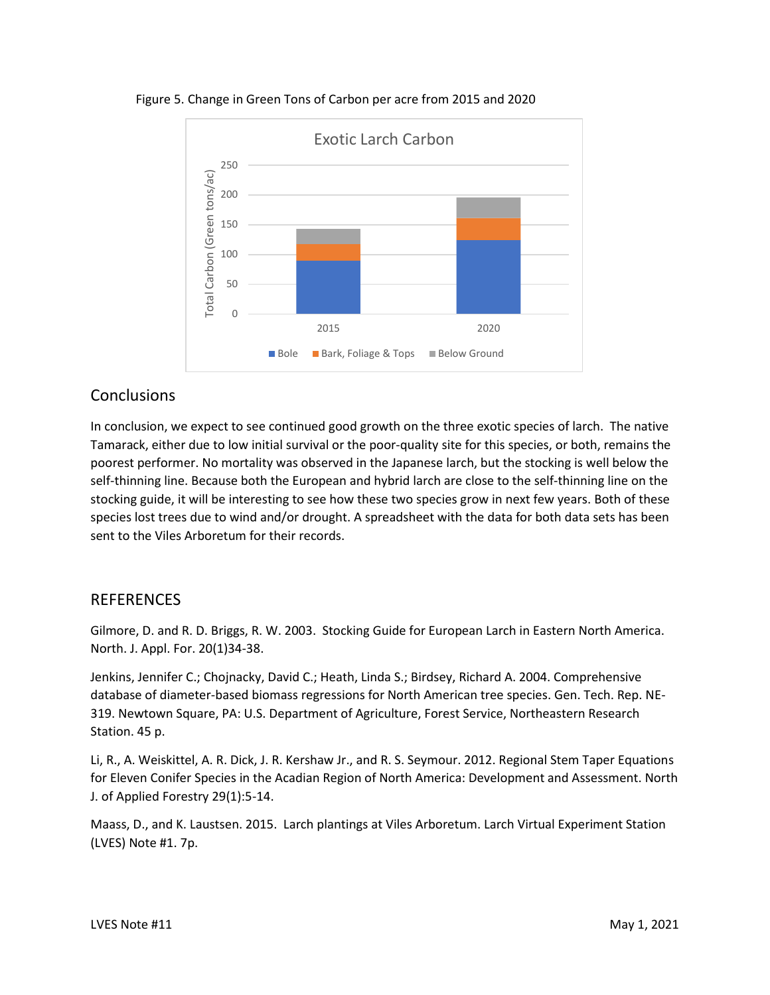

Figure 5. Change in Green Tons of Carbon per acre from 2015 and 2020

#### **Conclusions**

In conclusion, we expect to see continued good growth on the three exotic species of larch. The native Tamarack, either due to low initial survival or the poor-quality site for this species, or both, remains the poorest performer. No mortality was observed in the Japanese larch, but the stocking is well below the self-thinning line. Because both the European and hybrid larch are close to the self-thinning line on the stocking guide, it will be interesting to see how these two species grow in next few years. Both of these species lost trees due to wind and/or drought. A spreadsheet with the data for both data sets has been sent to the Viles Arboretum for their records.

#### **REFERENCES**

Gilmore, D. and R. D. Briggs, R. W. 2003. Stocking Guide for European Larch in Eastern North America. North. J. Appl. For. 20(1)34-38.

Jenkins, Jennifer C.; Chojnacky, David C.; Heath, Linda S.; Birdsey, Richard A. 2004. Comprehensive database of diameter-based biomass regressions for North American tree species. Gen. Tech. Rep. NE-319. Newtown Square, PA: U.S. Department of Agriculture, Forest Service, Northeastern Research Station. 45 p.

Li, R., A. Weiskittel, A. R. Dick, J. R. Kershaw Jr., and R. S. Seymour. 2012. Regional Stem Taper Equations for Eleven Conifer Species in the Acadian Region of North America: Development and Assessment. North J. of Applied Forestry 29(1):5-14.

Maass, D., and K. Laustsen. 2015. Larch plantings at Viles Arboretum. Larch Virtual Experiment Station (LVES) Note #1. 7p.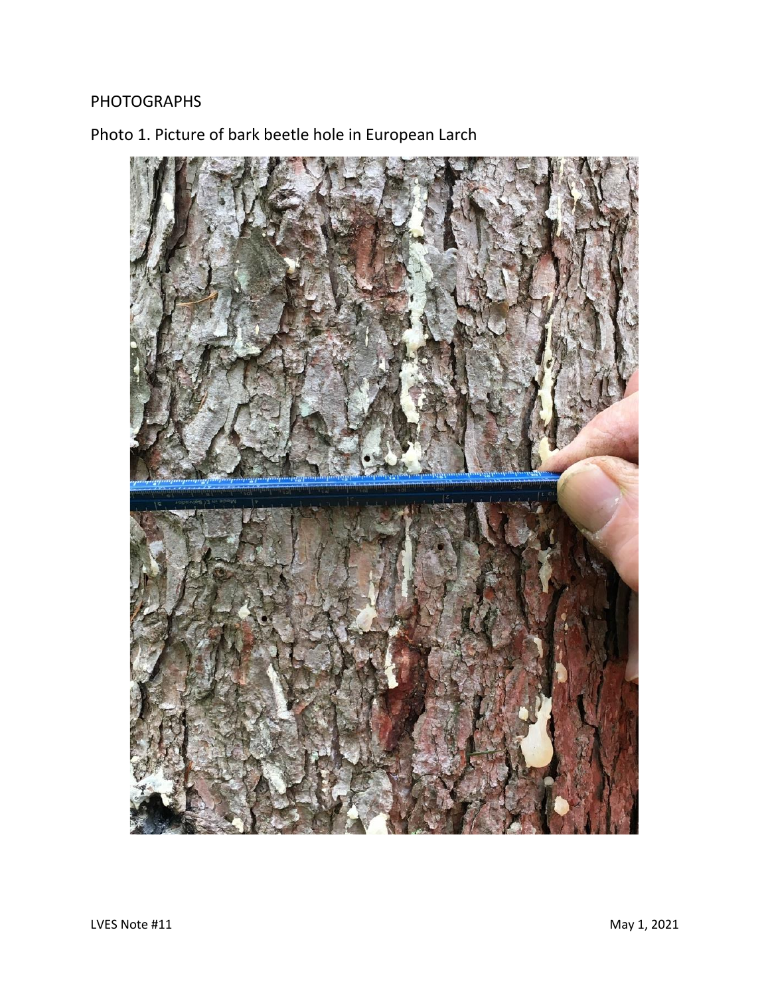## PHOTOGRAPHS

Photo 1. Picture of bark beetle hole in European Larch